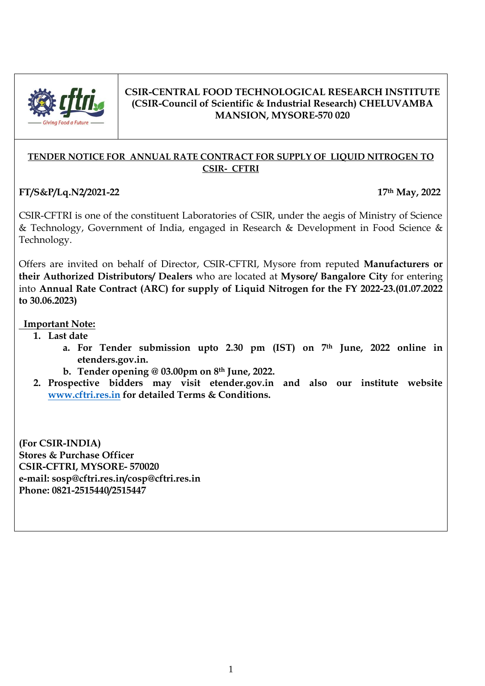

## **CSIR-CENTRAL FOOD TECHNOLOGICAL RESEARCH INSTITUTE (CSIR-Council of Scientific & Industrial Research) CHELUVAMBA MANSION, MYSORE-570 020**

### **TENDER NOTICE FOR ANNUAL RATE CONTRACT FOR SUPPLY OF LIQUID NITROGEN TO CSIR- CFTRI**

# **FT/S&P/Lq.N2/2021-22 17th May, 2022**

CSIR-CFTRI is one of the constituent Laboratories of CSIR, under the aegis of Ministry of Science & Technology, Government of India, engaged in Research & Development in Food Science & Technology.

Offers are invited on behalf of Director, CSIR-CFTRI, Mysore from reputed **Manufacturers or their Authorized Distributors/ Dealers** who are located at **Mysore/ Bangalore City** for entering into **Annual Rate Contract (ARC) for supply of Liquid Nitrogen for the FY 2022-23.(01.07.2022 to 30.06.2023)**

## **Important Note:**

- **1. Last date** 
	- **a. For Tender submission upto 2.30 pm (IST) on 7th June, 2022 online in etenders.gov.in.**
	- **b. Tender opening @ 03.00pm on 8th June, 2022.**
- **2. Prospective bidders may visit etender.gov.in and also our institute website [www.cftri.res.in](http://www.cftri.res.in/) for detailed Terms & Conditions.**

**(For CSIR-INDIA) Stores & Purchase Officer CSIR-CFTRI, MYSORE- 570020 e-mail: sosp@cftri.res.in/cosp@cftri.res.in Phone: 0821-2515440/2515447**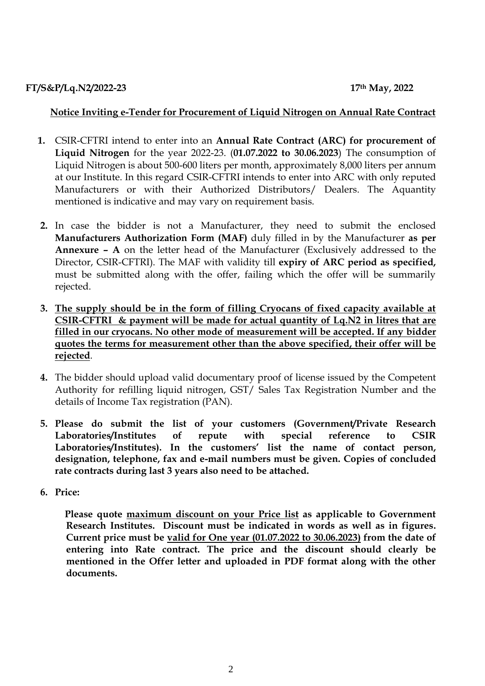## **Notice Inviting e-Tender for Procurement of Liquid Nitrogen on Annual Rate Contract**

- **1.** CSIR-CFTRI intend to enter into an **Annual Rate Contract (ARC) for procurement of Liquid Nitrogen** for the year 2022-23. (**01.07.2022 to 30.06.2023**) The consumption of Liquid Nitrogen is about 500-600 liters per month, approximately 8,000 liters per annum at our Institute. In this regard CSIR-CFTRI intends to enter into ARC with only reputed Manufacturers or with their Authorized Distributors/ Dealers. The Aquantity mentioned is indicative and may vary on requirement basis.
- **2.** In case the bidder is not a Manufacturer, they need to submit the enclosed **Manufacturers Authorization Form (MAF)** duly filled in by the Manufacturer **as per Annexure – A** on the letter head of the Manufacturer (Exclusively addressed to the Director, CSIR-CFTRI). The MAF with validity till **expiry of ARC period as specified,**  must be submitted along with the offer, failing which the offer will be summarily rejected.
- **3. The supply should be in the form of filling Cryocans of fixed capacity available at CSIR-CFTRI & payment will be made for actual quantity of Lq.N2 in litres that are filled in our cryocans. No other mode of measurement will be accepted. If any bidder quotes the terms for measurement other than the above specified, their offer will be rejected**.
- **4.** The bidder should upload valid documentary proof of license issued by the Competent Authority for refilling liquid nitrogen, GST/ Sales Tax Registration Number and the details of Income Tax registration (PAN).
- **5. Please do submit the list of your customers (Government/Private Research Laboratories/Institutes of repute with special reference to CSIR Laboratories/Institutes). In the customers' list the name of contact person, designation, telephone, fax and e-mail numbers must be given. Copies of concluded rate contracts during last 3 years also need to be attached.**
- **6. Price:**

 **Please quote maximum discount on your Price list as applicable to Government Research Institutes. Discount must be indicated in words as well as in figures. Current price must be valid for One year (01.07.2022 to 30.06.2023) from the date of entering into Rate contract. The price and the discount should clearly be mentioned in the Offer letter and uploaded in PDF format along with the other documents.**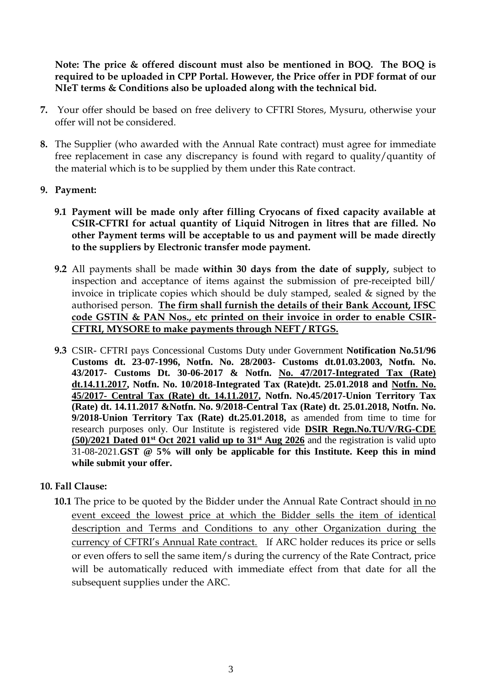**Note: The price & offered discount must also be mentioned in BOQ. The BOQ is required to be uploaded in CPP Portal. However, the Price offer in PDF format of our NIeT terms & Conditions also be uploaded along with the technical bid.**

- **7.** Your offer should be based on free delivery to CFTRI Stores, Mysuru, otherwise your offer will not be considered.
- **8.** The Supplier (who awarded with the Annual Rate contract) must agree for immediate free replacement in case any discrepancy is found with regard to quality/quantity of the material which is to be supplied by them under this Rate contract.
- **9. Payment:** 
	- **9.1 Payment will be made only after filling Cryocans of fixed capacity available at CSIR-CFTRI for actual quantity of Liquid Nitrogen in litres that are filled. No other Payment terms will be acceptable to us and payment will be made directly to the suppliers by Electronic transfer mode payment.**
	- **9.2** All payments shall be made **within 30 days from the date of supply,** subject to inspection and acceptance of items against the submission of pre-receipted bill/ invoice in triplicate copies which should be duly stamped, sealed & signed by the authorised person. **The firm shall furnish the details of their Bank Account, IFSC code GSTIN & PAN Nos., etc printed on their invoice in order to enable CSIR-CFTRI, MYSORE to make payments through NEFT / RTGS.**
	- **9.3** CSIR- CFTRI pays Concessional Customs Duty under Government **Notification No.51/96 Customs dt. 23-07-1996, Notfn. No. 28/2003- Customs dt.01.03.2003, Notfn. No. 43/2017- Customs Dt. 30-06-2017 & Notfn. No. 47/2017-Integrated Tax (Rate) dt.14.11.2017, Notfn. No. 10/2018-Integrated Tax (Rate)dt. 25.01.2018 and Notfn. No. 45/2017- Central Tax (Rate) dt. 14.11.2017, Notfn. No.45/2017-Union Territory Tax (Rate) dt. 14.11.2017 &Notfn. No. 9/2018-Central Tax (Rate) dt. 25.01.2018, Notfn. No. 9/2018-Union Territory Tax (Rate) dt.25.01.2018,** as amended from time to time for research purposes only. Our Institute is registered vide **DSIR Regn.No.TU/V/RG-CDE (50)/2021 Dated 01st Oct 2021 valid up to 31st Aug 2026** and the registration is valid upto 31-08-2021.**GST @ 5% will only be applicable for this Institute. Keep this in mind while submit your offer.**

## **10. Fall Clause:**

**10.1** The price to be quoted by the Bidder under the Annual Rate Contract should in no event exceed the lowest price at which the Bidder sells the item of identical description and Terms and Conditions to any other Organization during the currency of CFTRI's Annual Rate contract. If ARC holder reduces its price or sells or even offers to sell the same item/s during the currency of the Rate Contract, price will be automatically reduced with immediate effect from that date for all the subsequent supplies under the ARC.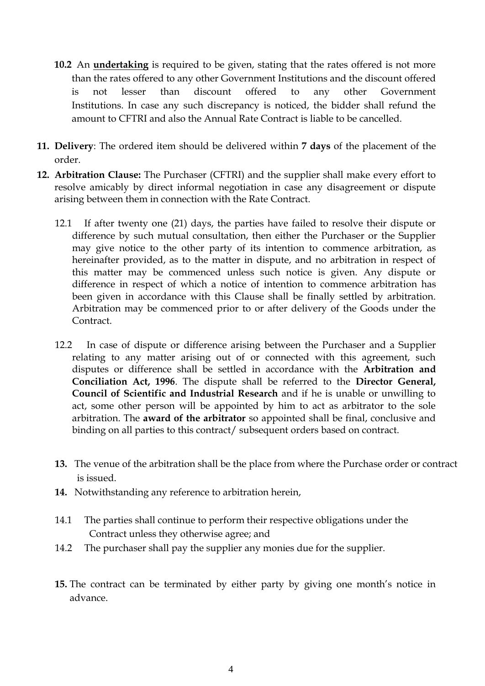- **10.2** An **undertaking** is required to be given, stating that the rates offered is not more than the rates offered to any other Government Institutions and the discount offered is not lesser than discount offered to any other Government Institutions. In case any such discrepancy is noticed, the bidder shall refund the amount to CFTRI and also the Annual Rate Contract is liable to be cancelled.
- **11. Delivery**: The ordered item should be delivered within **7 days** of the placement of the order.
- **12. Arbitration Clause:** The Purchaser (CFTRI) and the supplier shall make every effort to resolve amicably by direct informal negotiation in case any disagreement or dispute arising between them in connection with the Rate Contract.
	- 12.1 If after twenty one (21) days, the parties have failed to resolve their dispute or difference by such mutual consultation, then either the Purchaser or the Supplier may give notice to the other party of its intention to commence arbitration, as hereinafter provided, as to the matter in dispute, and no arbitration in respect of this matter may be commenced unless such notice is given. Any dispute or difference in respect of which a notice of intention to commence arbitration has been given in accordance with this Clause shall be finally settled by arbitration. Arbitration may be commenced prior to or after delivery of the Goods under the Contract.
	- 12.2 In case of dispute or difference arising between the Purchaser and a Supplier relating to any matter arising out of or connected with this agreement, such disputes or difference shall be settled in accordance with the **Arbitration and Conciliation Act, 1996**. The dispute shall be referred to the **Director General, Council of Scientific and Industrial Research** and if he is unable or unwilling to act, some other person will be appointed by him to act as arbitrator to the sole arbitration. The **award of the arbitrator** so appointed shall be final, conclusive and binding on all parties to this contract/ subsequent orders based on contract.
	- **13.** The venue of the arbitration shall be the place from where the Purchase order or contract is issued.
	- **14.** Notwithstanding any reference to arbitration herein,
	- 14.1 The parties shall continue to perform their respective obligations under the Contract unless they otherwise agree; and
	- 14.2 The purchaser shall pay the supplier any monies due for the supplier.
	- **15.** The contract can be terminated by either party by giving one month's notice in advance.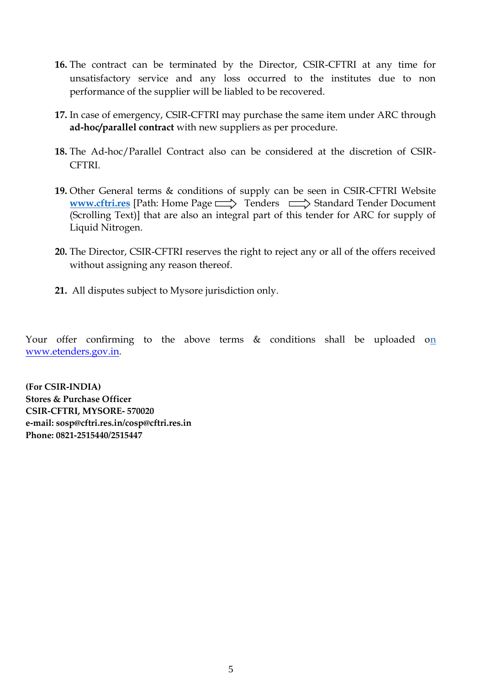- **16.** The contract can be terminated by the Director, CSIR-CFTRI at any time for unsatisfactory service and any loss occurred to the institutes due to non performance of the supplier will be liabled to be recovered.
- **17.** In case of emergency, CSIR-CFTRI may purchase the same item under ARC through **ad-hoc/parallel contract** with new suppliers as per procedure.
- **18.** The Ad-hoc/Parallel Contract also can be considered at the discretion of CSIR-CFTRI.
- **19.** Other General terms & conditions of supply can be seen in CSIR-CFTRI Website **[www.cftri.res](http://www.cftri.res/)** [Path: Home Page  $\implies$  Tenders  $\implies$  Standard Tender Document (Scrolling Text)] that are also an integral part of this tender for ARC for supply of Liquid Nitrogen.
- **20.** The Director, CSIR-CFTRI reserves the right to reject any or all of the offers received without assigning any reason thereof.
- **21.** All disputes subject to Mysore jurisdiction only.

Your offer confirming to the above terms  $\&$  conditions shall be uploaded on [www.etenders.gov.in.](http://www.etenders.gov.in/) 

**(For CSIR-INDIA) Stores & Purchase Officer CSIR-CFTRI, MYSORE- 570020 e-mail: sosp@cftri.res.in/cosp@cftri.res.in Phone: 0821-2515440/2515447**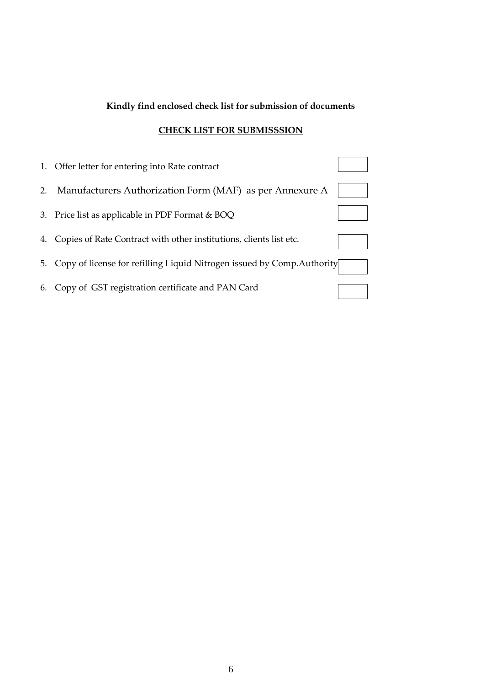# **Kindly find enclosed check list for submission of documents**

## **CHECK LIST FOR SUBMISSSION**

| 1. | Offer letter for entering into Rate contract                            |  |
|----|-------------------------------------------------------------------------|--|
| 2. | Manufacturers Authorization Form (MAF) as per Annexure A                |  |
| 3. | Price list as applicable in PDF Format & BOQ                            |  |
| 4. | Copies of Rate Contract with other institutions, clients list etc.      |  |
| 5. | Copy of license for refilling Liquid Nitrogen issued by Comp. Authority |  |
| 6. | Copy of GST registration certificate and PAN Card                       |  |